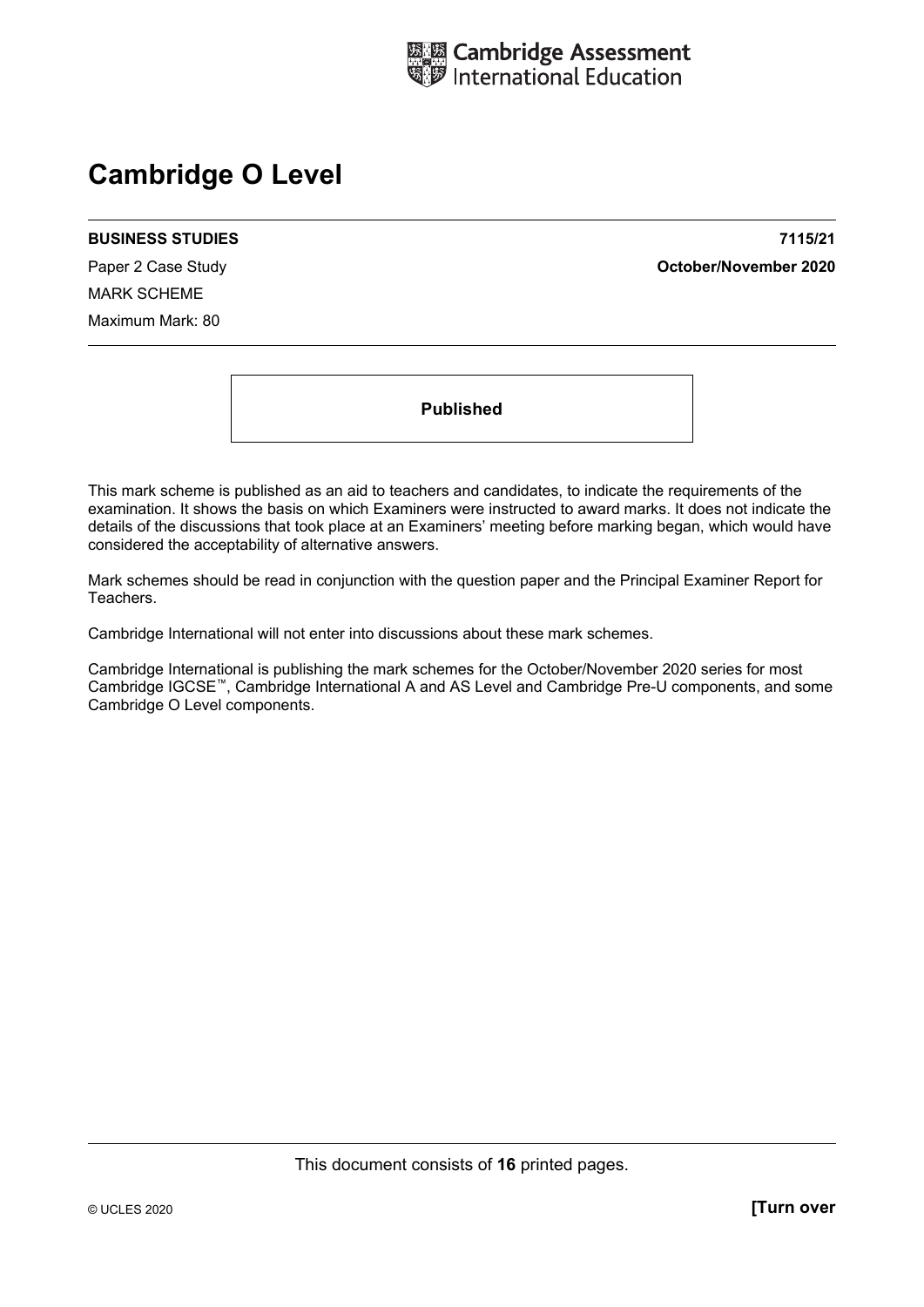

# **Cambridge O Level**

#### **BUSINESS STUDIES 7115/21**

MARK SCHEME Maximum Mark: 80

Paper 2 Case Study **October/November 2020**

**Published** 

This mark scheme is published as an aid to teachers and candidates, to indicate the requirements of the examination. It shows the basis on which Examiners were instructed to award marks. It does not indicate the details of the discussions that took place at an Examiners' meeting before marking began, which would have considered the acceptability of alternative answers.

Mark schemes should be read in conjunction with the question paper and the Principal Examiner Report for Teachers.

Cambridge International will not enter into discussions about these mark schemes.

Cambridge International is publishing the mark schemes for the October/November 2020 series for most Cambridge IGCSE™, Cambridge International A and AS Level and Cambridge Pre-U components, and some Cambridge O Level components.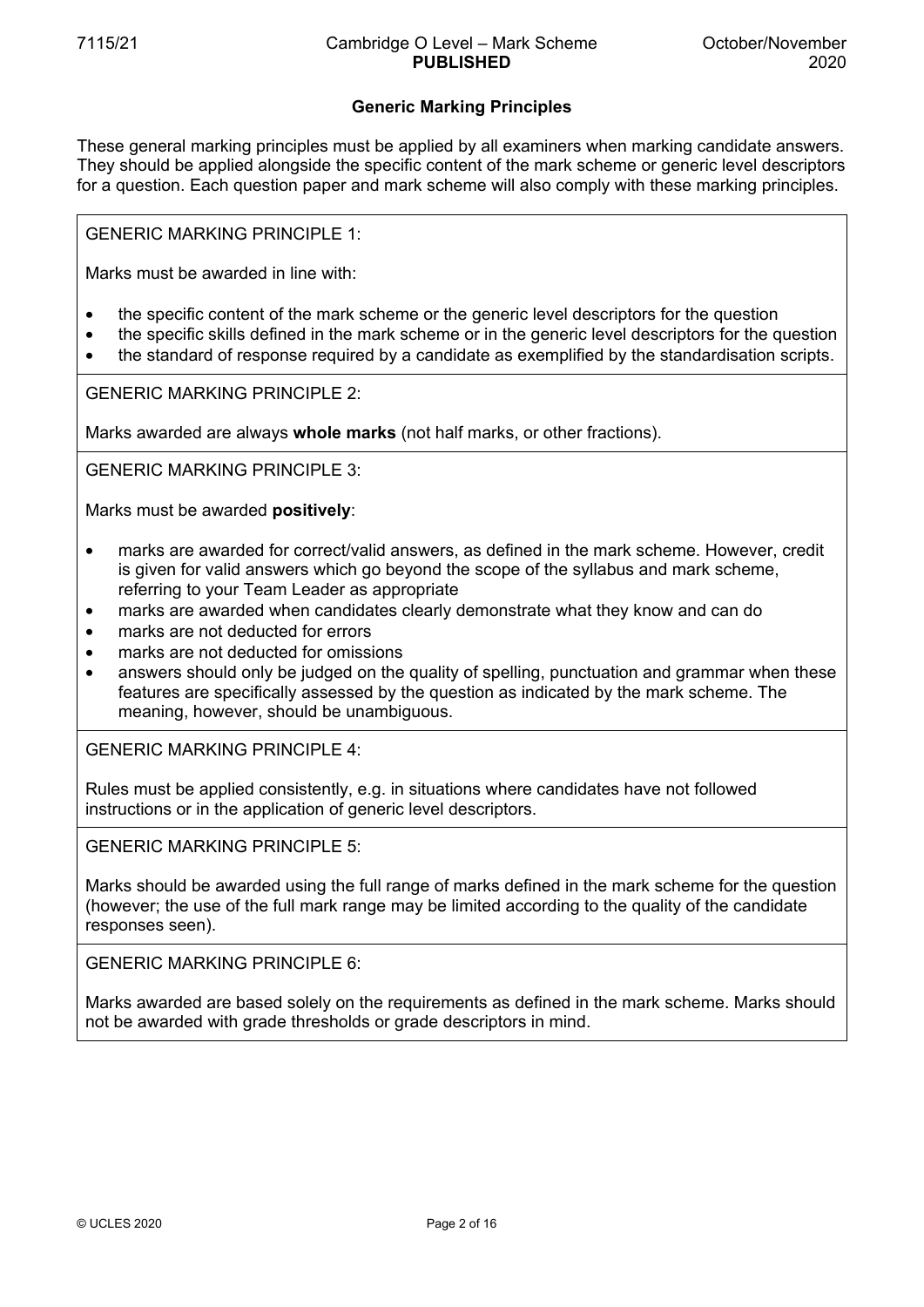## **Generic Marking Principles**

These general marking principles must be applied by all examiners when marking candidate answers. They should be applied alongside the specific content of the mark scheme or generic level descriptors for a question. Each question paper and mark scheme will also comply with these marking principles.

GENERIC MARKING PRINCIPLE 1:

Marks must be awarded in line with:

- the specific content of the mark scheme or the generic level descriptors for the question
- the specific skills defined in the mark scheme or in the generic level descriptors for the question
- the standard of response required by a candidate as exemplified by the standardisation scripts.

GENERIC MARKING PRINCIPLE 2:

Marks awarded are always **whole marks** (not half marks, or other fractions).

GENERIC MARKING PRINCIPLE 3:

Marks must be awarded **positively**:

- marks are awarded for correct/valid answers, as defined in the mark scheme. However, credit is given for valid answers which go beyond the scope of the syllabus and mark scheme, referring to your Team Leader as appropriate
- marks are awarded when candidates clearly demonstrate what they know and can do
- marks are not deducted for errors
- marks are not deducted for omissions
- answers should only be judged on the quality of spelling, punctuation and grammar when these features are specifically assessed by the question as indicated by the mark scheme. The meaning, however, should be unambiguous.

GENERIC MARKING PRINCIPLE 4:

Rules must be applied consistently, e.g. in situations where candidates have not followed instructions or in the application of generic level descriptors.

GENERIC MARKING PRINCIPLE 5:

Marks should be awarded using the full range of marks defined in the mark scheme for the question (however; the use of the full mark range may be limited according to the quality of the candidate responses seen).

GENERIC MARKING PRINCIPLE 6:

Marks awarded are based solely on the requirements as defined in the mark scheme. Marks should not be awarded with grade thresholds or grade descriptors in mind.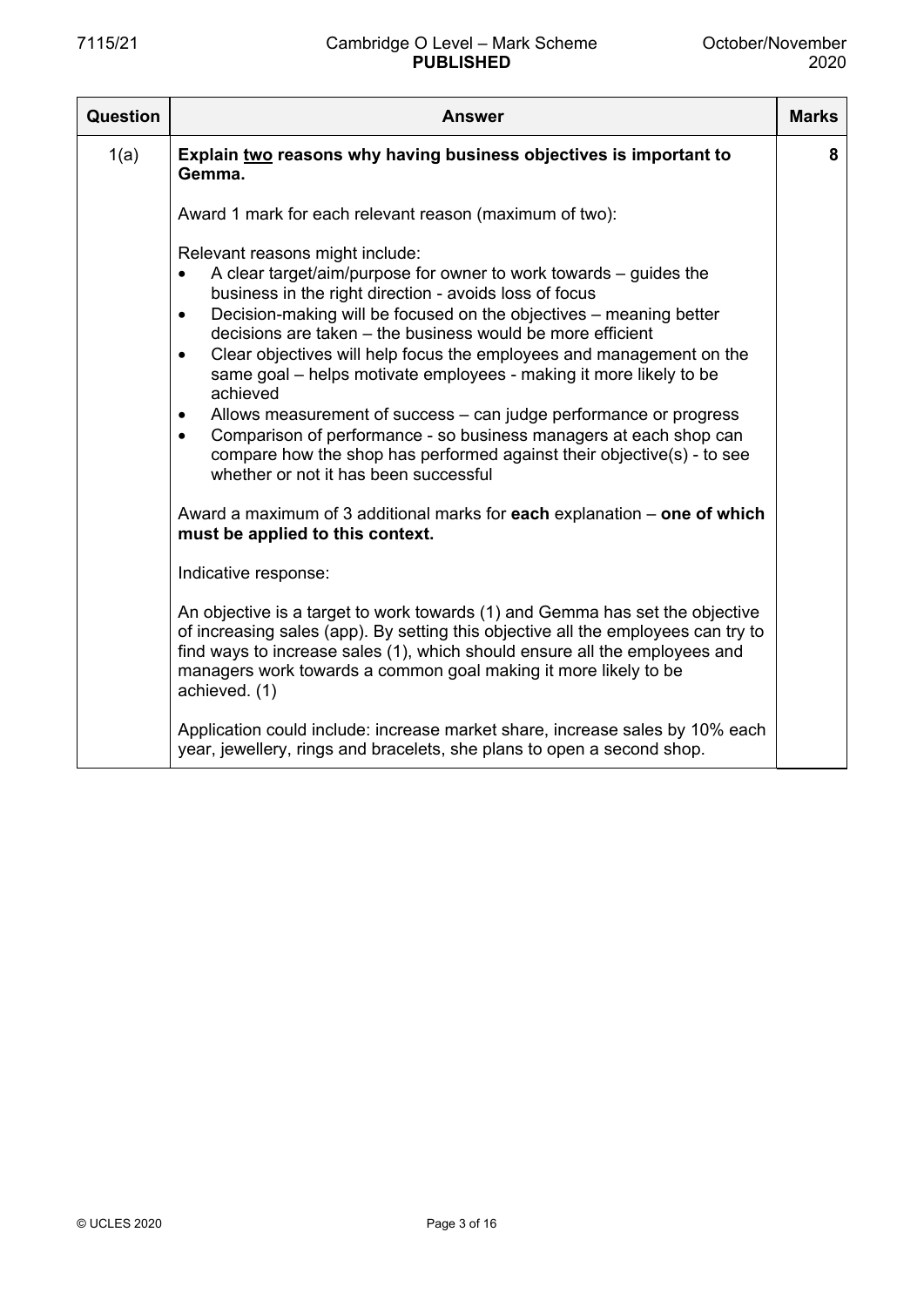| Question | <b>Answer</b>                                                                                                                                                                                                                                                                                                                                                                                                                                                                                                                                                                                                                                                                                                                                                                                                                                                                                                                                                                                                                                                                                                                                                                                                                                                              | <b>Marks</b> |
|----------|----------------------------------------------------------------------------------------------------------------------------------------------------------------------------------------------------------------------------------------------------------------------------------------------------------------------------------------------------------------------------------------------------------------------------------------------------------------------------------------------------------------------------------------------------------------------------------------------------------------------------------------------------------------------------------------------------------------------------------------------------------------------------------------------------------------------------------------------------------------------------------------------------------------------------------------------------------------------------------------------------------------------------------------------------------------------------------------------------------------------------------------------------------------------------------------------------------------------------------------------------------------------------|--------------|
| 1(a)     | Explain two reasons why having business objectives is important to<br>Gemma.                                                                                                                                                                                                                                                                                                                                                                                                                                                                                                                                                                                                                                                                                                                                                                                                                                                                                                                                                                                                                                                                                                                                                                                               | 8            |
|          | Award 1 mark for each relevant reason (maximum of two):                                                                                                                                                                                                                                                                                                                                                                                                                                                                                                                                                                                                                                                                                                                                                                                                                                                                                                                                                                                                                                                                                                                                                                                                                    |              |
|          | Relevant reasons might include:<br>A clear target/aim/purpose for owner to work towards - guides the<br>$\bullet$<br>business in the right direction - avoids loss of focus<br>Decision-making will be focused on the objectives - meaning better<br>$\bullet$<br>decisions are taken – the business would be more efficient<br>Clear objectives will help focus the employees and management on the<br>$\bullet$<br>same goal – helps motivate employees - making it more likely to be<br>achieved<br>Allows measurement of success – can judge performance or progress<br>$\bullet$<br>Comparison of performance - so business managers at each shop can<br>$\bullet$<br>compare how the shop has performed against their objective(s) - to see<br>whether or not it has been successful<br>Award a maximum of 3 additional marks for each explanation – one of which<br>must be applied to this context.<br>Indicative response:<br>An objective is a target to work towards (1) and Gemma has set the objective<br>of increasing sales (app). By setting this objective all the employees can try to<br>find ways to increase sales (1), which should ensure all the employees and<br>managers work towards a common goal making it more likely to be<br>achieved. (1) |              |
|          | Application could include: increase market share, increase sales by 10% each<br>year, jewellery, rings and bracelets, she plans to open a second shop.                                                                                                                                                                                                                                                                                                                                                                                                                                                                                                                                                                                                                                                                                                                                                                                                                                                                                                                                                                                                                                                                                                                     |              |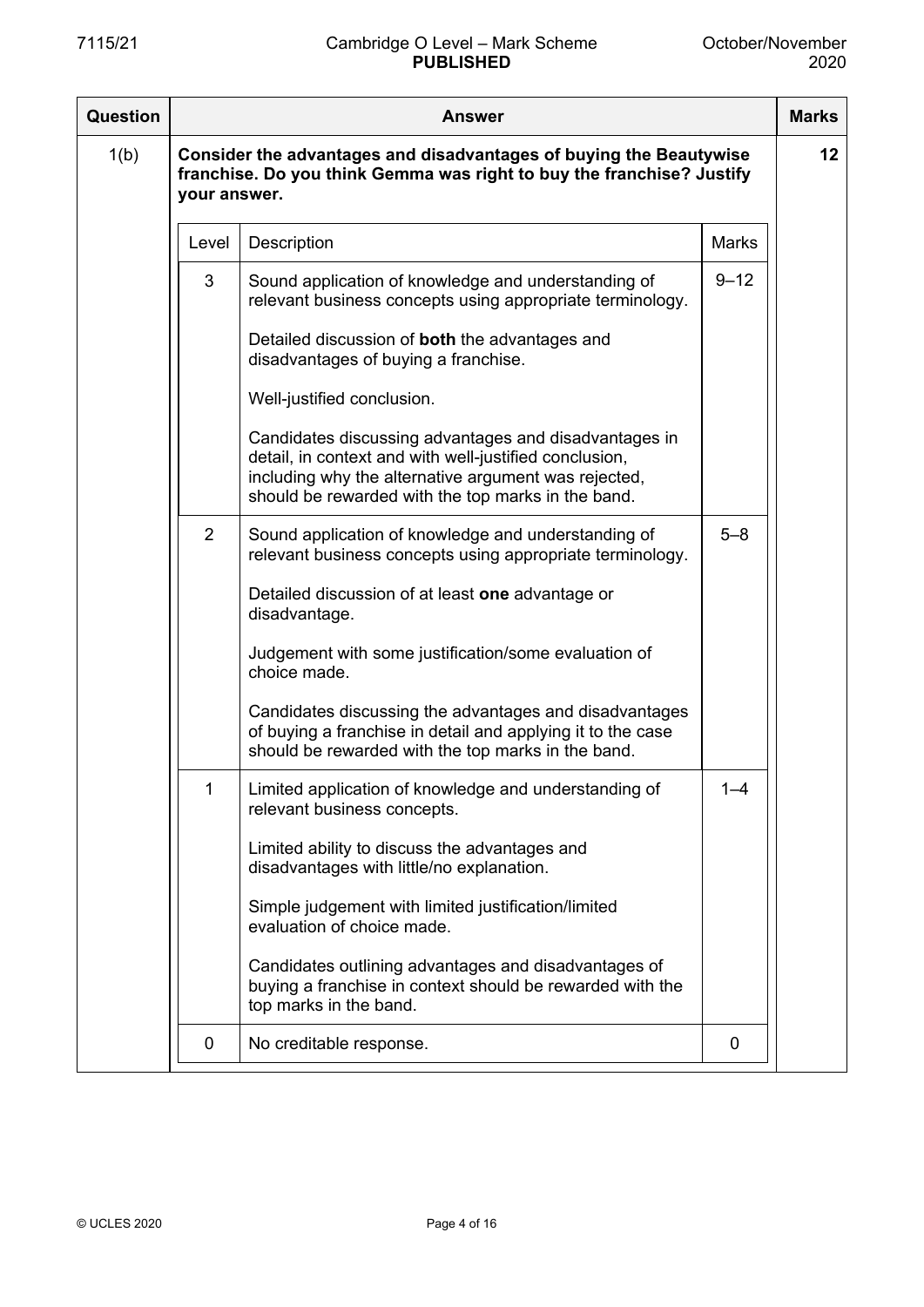| Question | Answer                                                                                                                                                      |                                                                                                                                                                                                                               |              |  |
|----------|-------------------------------------------------------------------------------------------------------------------------------------------------------------|-------------------------------------------------------------------------------------------------------------------------------------------------------------------------------------------------------------------------------|--------------|--|
| 1(b)     | Consider the advantages and disadvantages of buying the Beautywise<br>franchise. Do you think Gemma was right to buy the franchise? Justify<br>your answer. |                                                                                                                                                                                                                               |              |  |
|          | Level                                                                                                                                                       | Description                                                                                                                                                                                                                   | <b>Marks</b> |  |
|          | 3                                                                                                                                                           | Sound application of knowledge and understanding of<br>relevant business concepts using appropriate terminology.                                                                                                              | $9 - 12$     |  |
|          |                                                                                                                                                             | Detailed discussion of both the advantages and<br>disadvantages of buying a franchise.                                                                                                                                        |              |  |
|          |                                                                                                                                                             | Well-justified conclusion.                                                                                                                                                                                                    |              |  |
|          |                                                                                                                                                             | Candidates discussing advantages and disadvantages in<br>detail, in context and with well-justified conclusion,<br>including why the alternative argument was rejected,<br>should be rewarded with the top marks in the band. |              |  |
|          | 2                                                                                                                                                           | Sound application of knowledge and understanding of<br>relevant business concepts using appropriate terminology.                                                                                                              | $5 - 8$      |  |
|          |                                                                                                                                                             | Detailed discussion of at least one advantage or<br>disadvantage.                                                                                                                                                             |              |  |
|          |                                                                                                                                                             | Judgement with some justification/some evaluation of<br>choice made.                                                                                                                                                          |              |  |
|          |                                                                                                                                                             | Candidates discussing the advantages and disadvantages<br>of buying a franchise in detail and applying it to the case<br>should be rewarded with the top marks in the band.                                                   |              |  |
|          |                                                                                                                                                             | Limited application of knowledge and understanding of<br>relevant business concepts.                                                                                                                                          | $1 - 4$      |  |
|          |                                                                                                                                                             | Limited ability to discuss the advantages and<br>disadvantages with little/no explanation.                                                                                                                                    |              |  |
|          |                                                                                                                                                             | Simple judgement with limited justification/limited<br>evaluation of choice made.                                                                                                                                             |              |  |
|          |                                                                                                                                                             | Candidates outlining advantages and disadvantages of<br>buying a franchise in context should be rewarded with the<br>top marks in the band.                                                                                   |              |  |
|          | 0                                                                                                                                                           | No creditable response.                                                                                                                                                                                                       | 0            |  |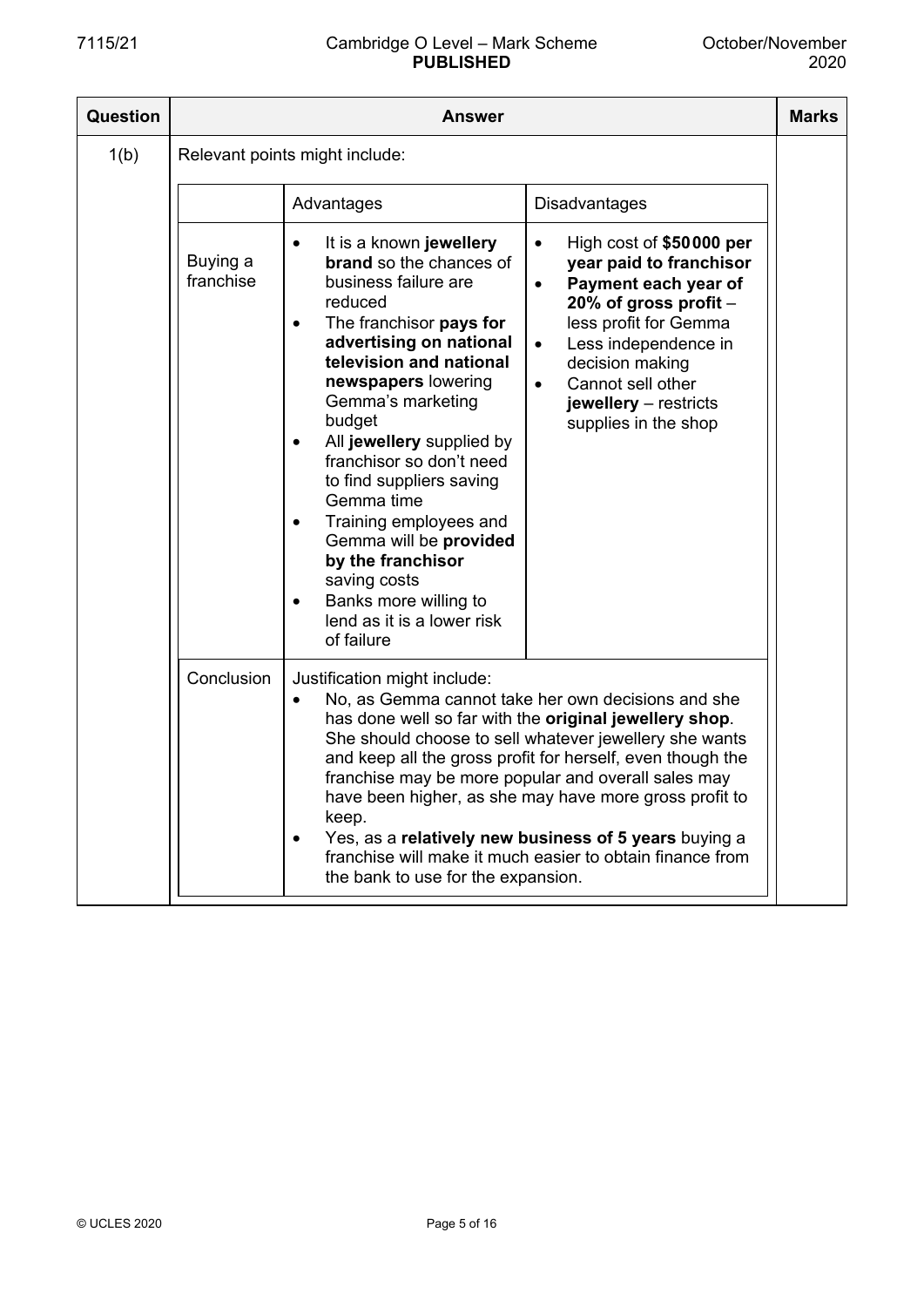| <b>Question</b> | Answer                |                                                                                                                                                                                                                                                                                                                                                                                                                                                                                                                                |                                                                                                                                                                                                                                                                                                                                                                                                                                                                             |  |
|-----------------|-----------------------|--------------------------------------------------------------------------------------------------------------------------------------------------------------------------------------------------------------------------------------------------------------------------------------------------------------------------------------------------------------------------------------------------------------------------------------------------------------------------------------------------------------------------------|-----------------------------------------------------------------------------------------------------------------------------------------------------------------------------------------------------------------------------------------------------------------------------------------------------------------------------------------------------------------------------------------------------------------------------------------------------------------------------|--|
| 1(b)            |                       | Relevant points might include:                                                                                                                                                                                                                                                                                                                                                                                                                                                                                                 |                                                                                                                                                                                                                                                                                                                                                                                                                                                                             |  |
|                 |                       | Advantages                                                                                                                                                                                                                                                                                                                                                                                                                                                                                                                     | <b>Disadvantages</b>                                                                                                                                                                                                                                                                                                                                                                                                                                                        |  |
|                 | Buying a<br>franchise | It is a known jewellery<br><b>brand</b> so the chances of<br>business failure are<br>reduced<br>The franchisor pays for<br>$\bullet$<br>advertising on national<br>television and national<br>newspapers lowering<br>Gemma's marketing<br>budget<br>All jewellery supplied by<br>franchisor so don't need<br>to find suppliers saving<br>Gemma time<br>Training employees and<br>Gemma will be provided<br>by the franchisor<br>saving costs<br>Banks more willing to<br>$\bullet$<br>lend as it is a lower risk<br>of failure | High cost of \$50000 per<br>year paid to franchisor<br>Payment each year of<br>$\bullet$<br>20% of gross profit $-$<br>less profit for Gemma<br>Less independence in<br>$\bullet$<br>decision making<br>Cannot sell other<br>$\bullet$<br>jewellery $-$ restricts<br>supplies in the shop                                                                                                                                                                                   |  |
|                 | Conclusion            | Justification might include:<br>keep.<br>the bank to use for the expansion.                                                                                                                                                                                                                                                                                                                                                                                                                                                    | No, as Gemma cannot take her own decisions and she<br>has done well so far with the original jewellery shop.<br>She should choose to sell whatever jewellery she wants<br>and keep all the gross profit for herself, even though the<br>franchise may be more popular and overall sales may<br>have been higher, as she may have more gross profit to<br>Yes, as a relatively new business of 5 years buying a<br>franchise will make it much easier to obtain finance from |  |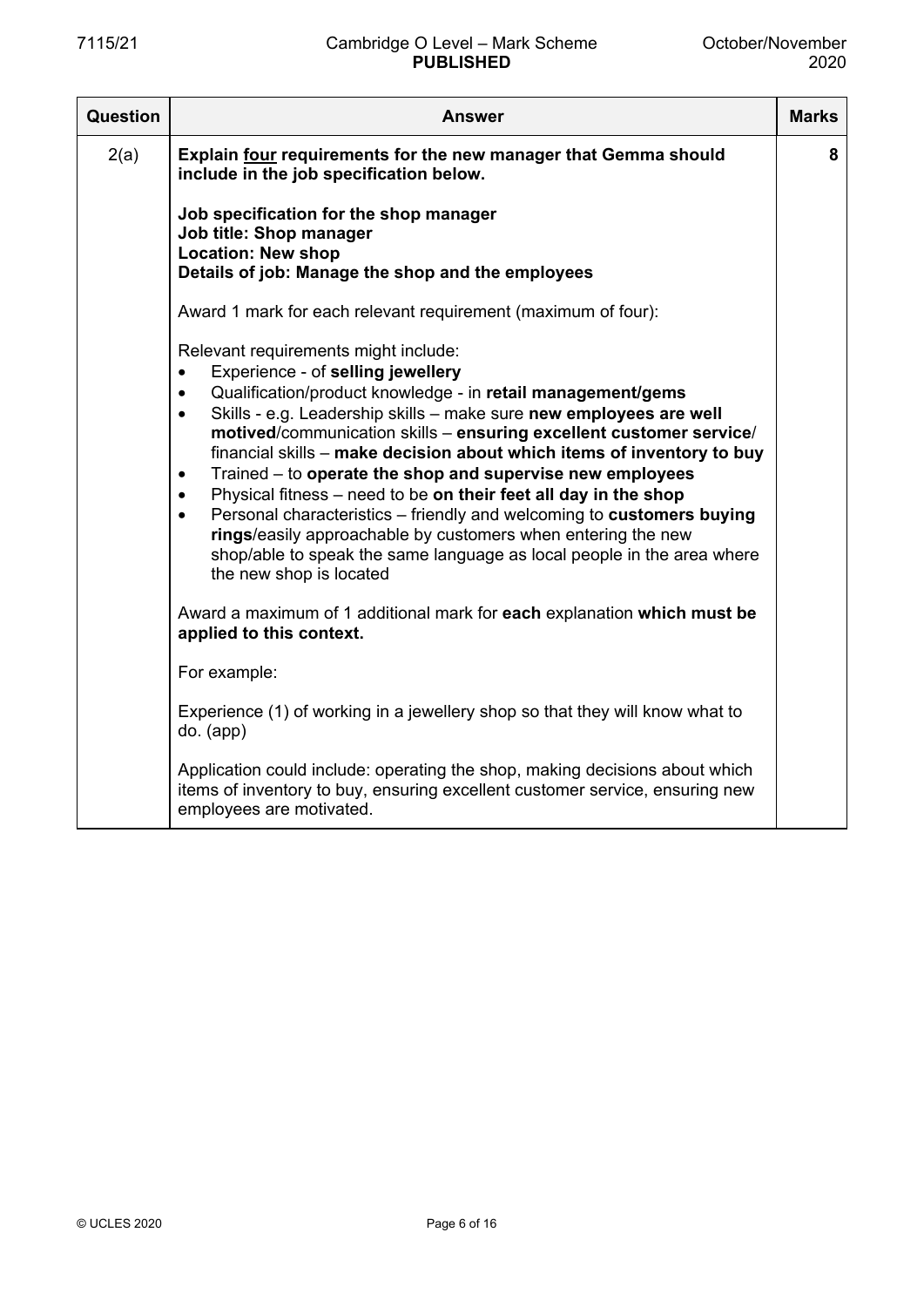| Question | <b>Answer</b>                                                                                                                                                                                                                                                                                                                                                                                                                                                                                                                                                                                                                                                                                                                                                                                                                                                                                                                      | <b>Marks</b> |
|----------|------------------------------------------------------------------------------------------------------------------------------------------------------------------------------------------------------------------------------------------------------------------------------------------------------------------------------------------------------------------------------------------------------------------------------------------------------------------------------------------------------------------------------------------------------------------------------------------------------------------------------------------------------------------------------------------------------------------------------------------------------------------------------------------------------------------------------------------------------------------------------------------------------------------------------------|--------------|
| 2(a)     | Explain four requirements for the new manager that Gemma should<br>include in the job specification below.                                                                                                                                                                                                                                                                                                                                                                                                                                                                                                                                                                                                                                                                                                                                                                                                                         | 8            |
|          | Job specification for the shop manager<br>Job title: Shop manager<br><b>Location: New shop</b><br>Details of job: Manage the shop and the employees                                                                                                                                                                                                                                                                                                                                                                                                                                                                                                                                                                                                                                                                                                                                                                                |              |
|          | Award 1 mark for each relevant requirement (maximum of four):                                                                                                                                                                                                                                                                                                                                                                                                                                                                                                                                                                                                                                                                                                                                                                                                                                                                      |              |
|          | Relevant requirements might include:<br>Experience - of selling jewellery<br>$\bullet$<br>Qualification/product knowledge - in retail management/gems<br>$\bullet$<br>Skills - e.g. Leadership skills - make sure new employees are well<br>$\bullet$<br>motived/communication skills - ensuring excellent customer service/<br>financial skills - make decision about which items of inventory to buy<br>Trained - to operate the shop and supervise new employees<br>$\bullet$<br>Physical fitness - need to be on their feet all day in the shop<br>$\bullet$<br>Personal characteristics - friendly and welcoming to customers buying<br>$\bullet$<br>rings/easily approachable by customers when entering the new<br>shop/able to speak the same language as local people in the area where<br>the new shop is located<br>Award a maximum of 1 additional mark for each explanation which must be<br>applied to this context. |              |
|          | For example:                                                                                                                                                                                                                                                                                                                                                                                                                                                                                                                                                                                                                                                                                                                                                                                                                                                                                                                       |              |
|          | Experience (1) of working in a jewellery shop so that they will know what to<br>$do.$ (app)                                                                                                                                                                                                                                                                                                                                                                                                                                                                                                                                                                                                                                                                                                                                                                                                                                        |              |
|          | Application could include: operating the shop, making decisions about which<br>items of inventory to buy, ensuring excellent customer service, ensuring new<br>employees are motivated.                                                                                                                                                                                                                                                                                                                                                                                                                                                                                                                                                                                                                                                                                                                                            |              |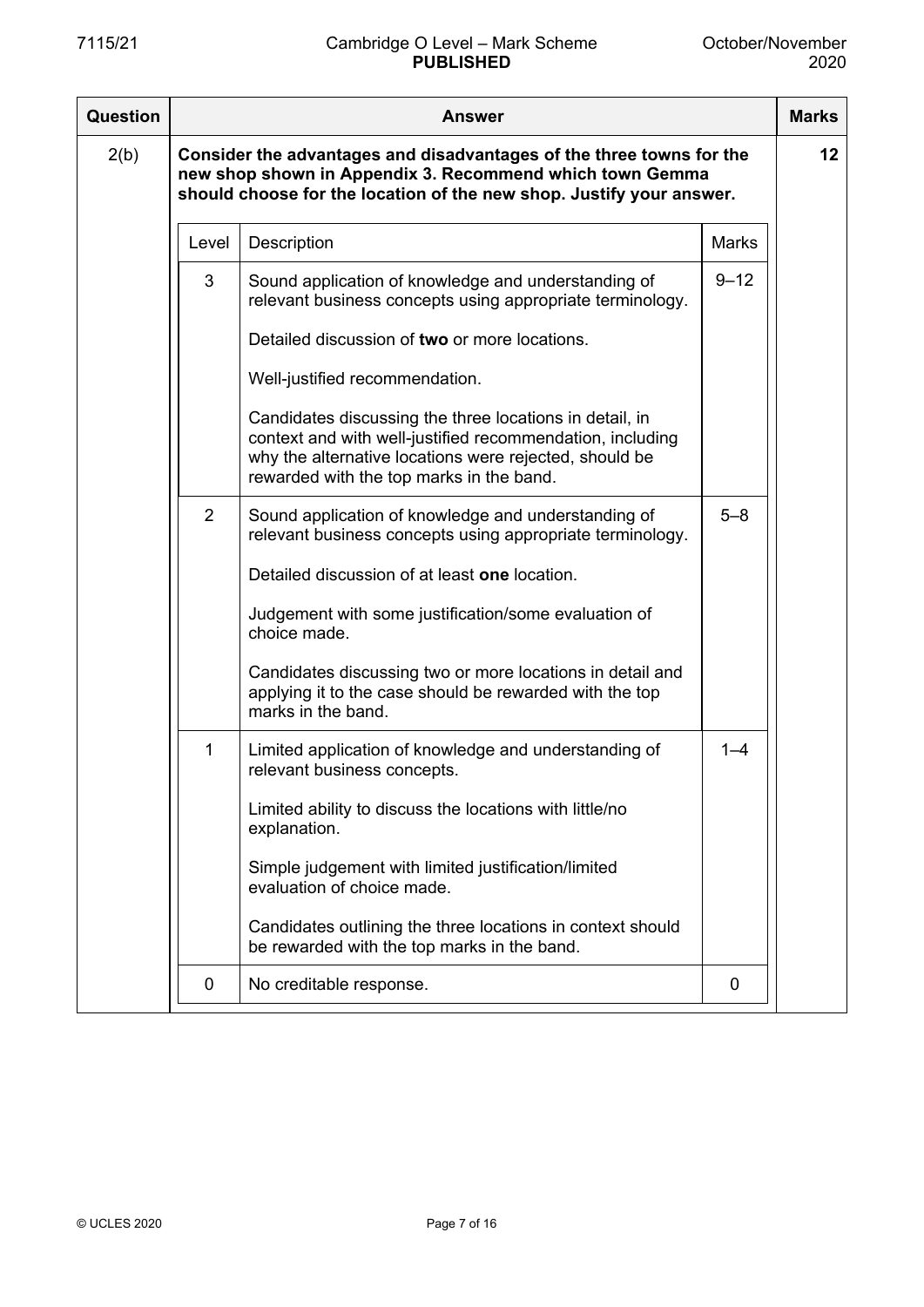| <b>Question</b> | <b>Answer</b>                                                                                                                                                                                            |                                                                                                                                                                                                                            |              |    |
|-----------------|----------------------------------------------------------------------------------------------------------------------------------------------------------------------------------------------------------|----------------------------------------------------------------------------------------------------------------------------------------------------------------------------------------------------------------------------|--------------|----|
| 2(b)            | Consider the advantages and disadvantages of the three towns for the<br>new shop shown in Appendix 3. Recommend which town Gemma<br>should choose for the location of the new shop. Justify your answer. |                                                                                                                                                                                                                            |              | 12 |
|                 | Level                                                                                                                                                                                                    | Description                                                                                                                                                                                                                | <b>Marks</b> |    |
|                 | 3                                                                                                                                                                                                        | Sound application of knowledge and understanding of<br>relevant business concepts using appropriate terminology.                                                                                                           | $9 - 12$     |    |
|                 |                                                                                                                                                                                                          | Detailed discussion of two or more locations.                                                                                                                                                                              |              |    |
|                 |                                                                                                                                                                                                          | Well-justified recommendation.                                                                                                                                                                                             |              |    |
|                 |                                                                                                                                                                                                          | Candidates discussing the three locations in detail, in<br>context and with well-justified recommendation, including<br>why the alternative locations were rejected, should be<br>rewarded with the top marks in the band. |              |    |
|                 | 2                                                                                                                                                                                                        | Sound application of knowledge and understanding of<br>relevant business concepts using appropriate terminology.                                                                                                           | $5 - 8$      |    |
|                 |                                                                                                                                                                                                          | Detailed discussion of at least one location.                                                                                                                                                                              |              |    |
|                 |                                                                                                                                                                                                          | Judgement with some justification/some evaluation of<br>choice made.                                                                                                                                                       |              |    |
|                 |                                                                                                                                                                                                          | Candidates discussing two or more locations in detail and<br>applying it to the case should be rewarded with the top<br>marks in the band.                                                                                 |              |    |
|                 | 1                                                                                                                                                                                                        | Limited application of knowledge and understanding of<br>relevant business concepts.                                                                                                                                       | $1 - 4$      |    |
|                 |                                                                                                                                                                                                          | Limited ability to discuss the locations with little/no<br>explanation.                                                                                                                                                    |              |    |
|                 |                                                                                                                                                                                                          | Simple judgement with limited justification/limited<br>evaluation of choice made.                                                                                                                                          |              |    |
|                 |                                                                                                                                                                                                          | Candidates outlining the three locations in context should<br>be rewarded with the top marks in the band.                                                                                                                  |              |    |
|                 | 0                                                                                                                                                                                                        | No creditable response.                                                                                                                                                                                                    | 0            |    |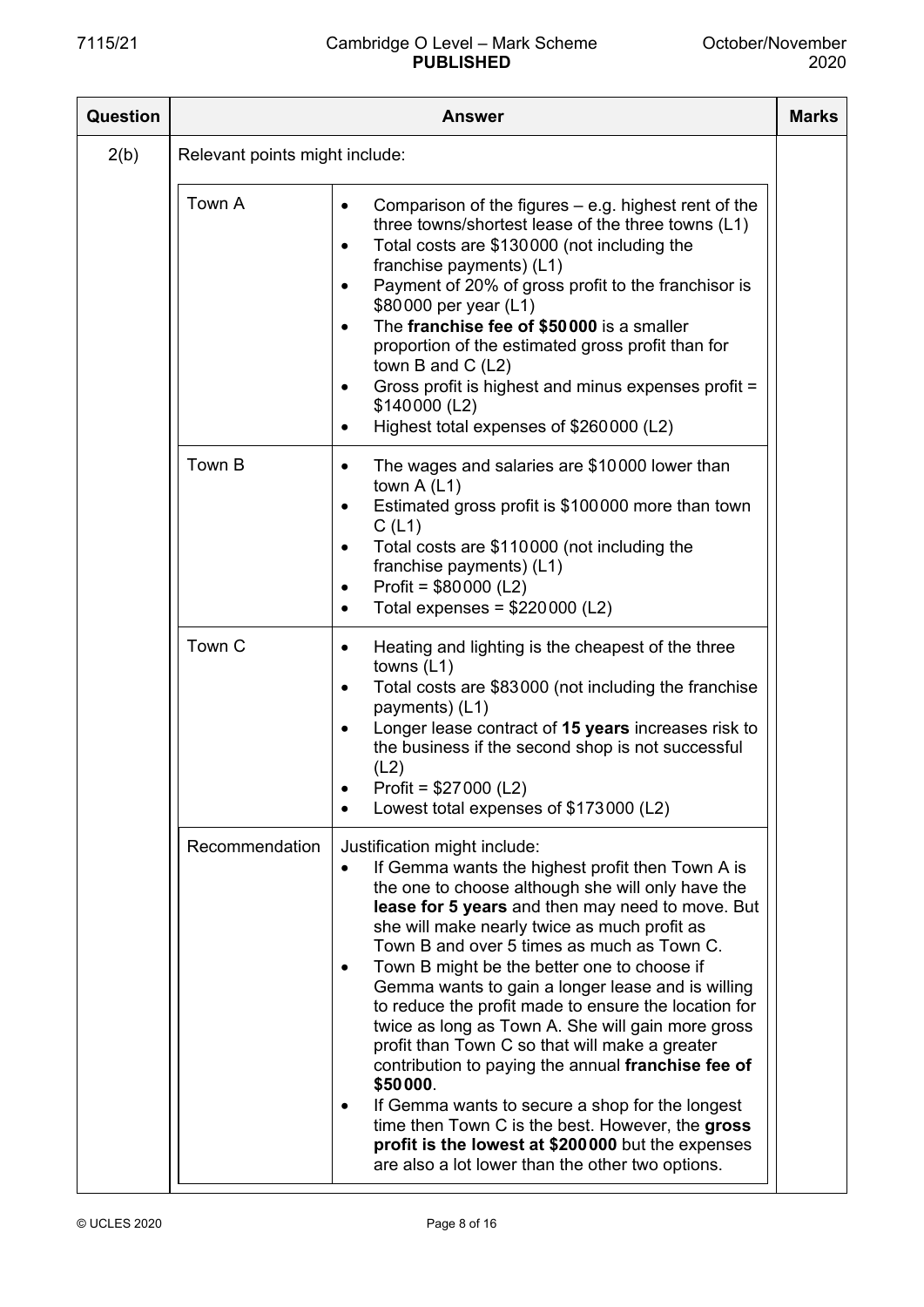| Question |                                | <b>Answer</b>                                                                                                                                                                                                                                                                                                                                                                                                                                                                                                                                                                                                                                                                                                                                                                                                                                             | <b>Marks</b> |
|----------|--------------------------------|-----------------------------------------------------------------------------------------------------------------------------------------------------------------------------------------------------------------------------------------------------------------------------------------------------------------------------------------------------------------------------------------------------------------------------------------------------------------------------------------------------------------------------------------------------------------------------------------------------------------------------------------------------------------------------------------------------------------------------------------------------------------------------------------------------------------------------------------------------------|--------------|
| 2(b)     | Relevant points might include: |                                                                                                                                                                                                                                                                                                                                                                                                                                                                                                                                                                                                                                                                                                                                                                                                                                                           |              |
|          | Town A                         | Comparison of the figures $-$ e.g. highest rent of the<br>three towns/shortest lease of the three towns (L1)<br>Total costs are \$130000 (not including the<br>franchise payments) (L1)<br>Payment of 20% of gross profit to the franchisor is<br>\$80000 per year (L1)<br>The franchise fee of \$50000 is a smaller<br>proportion of the estimated gross profit than for<br>town B and C $(L2)$<br>Gross profit is highest and minus expenses profit =<br>\$140000 (L2)<br>Highest total expenses of \$260000 (L2)                                                                                                                                                                                                                                                                                                                                       |              |
|          | Town B                         | The wages and salaries are \$10000 lower than<br>town $A(L1)$<br>Estimated gross profit is \$100000 more than town<br>C(L1)<br>Total costs are \$110000 (not including the<br>franchise payments) (L1)<br>Profit = $$80000$ (L2)<br>Total expenses = $$220000$ (L2)                                                                                                                                                                                                                                                                                                                                                                                                                                                                                                                                                                                       |              |
|          | Town C                         | Heating and lighting is the cheapest of the three<br>towns $(L1)$<br>Total costs are \$83000 (not including the franchise<br>payments) (L1)<br>Longer lease contract of 15 years increases risk to<br>the business if the second shop is not successful<br>(L2)<br>Profit = $$27000$ (L2)<br>Lowest total expenses of \$173000 (L2)                                                                                                                                                                                                                                                                                                                                                                                                                                                                                                                       |              |
|          | Recommendation                 | Justification might include:<br>If Gemma wants the highest profit then Town A is<br>the one to choose although she will only have the<br>lease for 5 years and then may need to move. But<br>she will make nearly twice as much profit as<br>Town B and over 5 times as much as Town C.<br>Town B might be the better one to choose if<br>$\bullet$<br>Gemma wants to gain a longer lease and is willing<br>to reduce the profit made to ensure the location for<br>twice as long as Town A. She will gain more gross<br>profit than Town C so that will make a greater<br>contribution to paying the annual franchise fee of<br>\$50000.<br>If Gemma wants to secure a shop for the longest<br>time then Town C is the best. However, the gross<br>profit is the lowest at \$200000 but the expenses<br>are also a lot lower than the other two options. |              |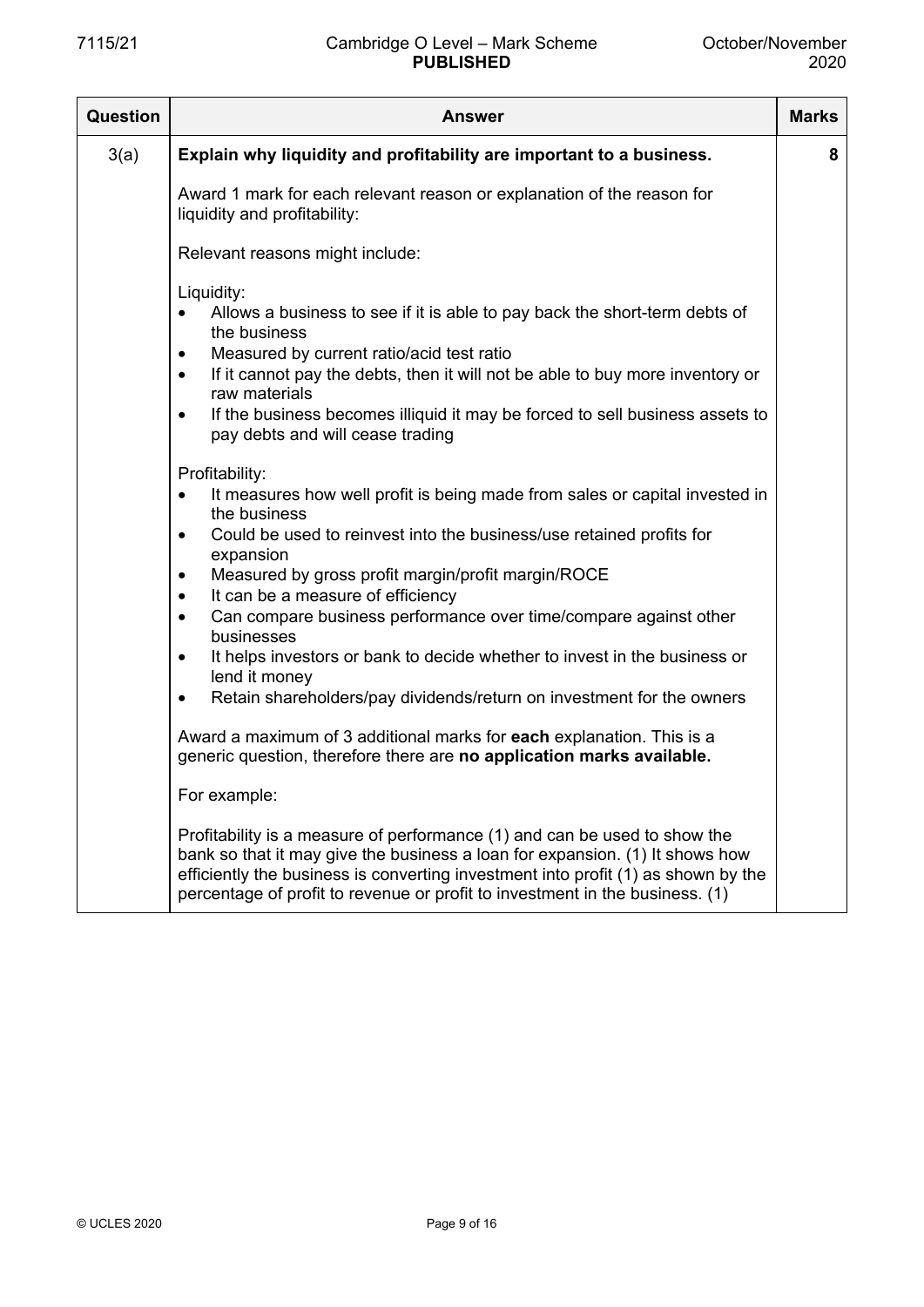| Question | <b>Answer</b>                                                                                                                                                                                                                                                                                                                  | <b>Marks</b> |
|----------|--------------------------------------------------------------------------------------------------------------------------------------------------------------------------------------------------------------------------------------------------------------------------------------------------------------------------------|--------------|
| 3(a)     | Explain why liquidity and profitability are important to a business.                                                                                                                                                                                                                                                           | 8            |
|          | Award 1 mark for each relevant reason or explanation of the reason for<br>liquidity and profitability:                                                                                                                                                                                                                         |              |
|          | Relevant reasons might include:                                                                                                                                                                                                                                                                                                |              |
|          | Liquidity:<br>Allows a business to see if it is able to pay back the short-term debts of<br>the business                                                                                                                                                                                                                       |              |
|          | Measured by current ratio/acid test ratio<br>$\bullet$<br>If it cannot pay the debts, then it will not be able to buy more inventory or<br>$\bullet$                                                                                                                                                                           |              |
|          | raw materials<br>If the business becomes illiquid it may be forced to sell business assets to<br>$\bullet$<br>pay debts and will cease trading                                                                                                                                                                                 |              |
|          | Profitability:<br>It measures how well profit is being made from sales or capital invested in<br>$\bullet$                                                                                                                                                                                                                     |              |
|          | the business<br>Could be used to reinvest into the business/use retained profits for<br>$\bullet$                                                                                                                                                                                                                              |              |
|          | expansion<br>Measured by gross profit margin/profit margin/ROCE<br>$\bullet$                                                                                                                                                                                                                                                   |              |
|          | It can be a measure of efficiency<br>$\bullet$<br>Can compare business performance over time/compare against other<br>$\bullet$<br>businesses                                                                                                                                                                                  |              |
|          | It helps investors or bank to decide whether to invest in the business or<br>$\bullet$<br>lend it money                                                                                                                                                                                                                        |              |
|          | Retain shareholders/pay dividends/return on investment for the owners<br>$\bullet$                                                                                                                                                                                                                                             |              |
|          | Award a maximum of 3 additional marks for each explanation. This is a<br>generic question, therefore there are no application marks available.                                                                                                                                                                                 |              |
|          | For example:                                                                                                                                                                                                                                                                                                                   |              |
|          | Profitability is a measure of performance (1) and can be used to show the<br>bank so that it may give the business a loan for expansion. (1) It shows how<br>efficiently the business is converting investment into profit (1) as shown by the<br>percentage of profit to revenue or profit to investment in the business. (1) |              |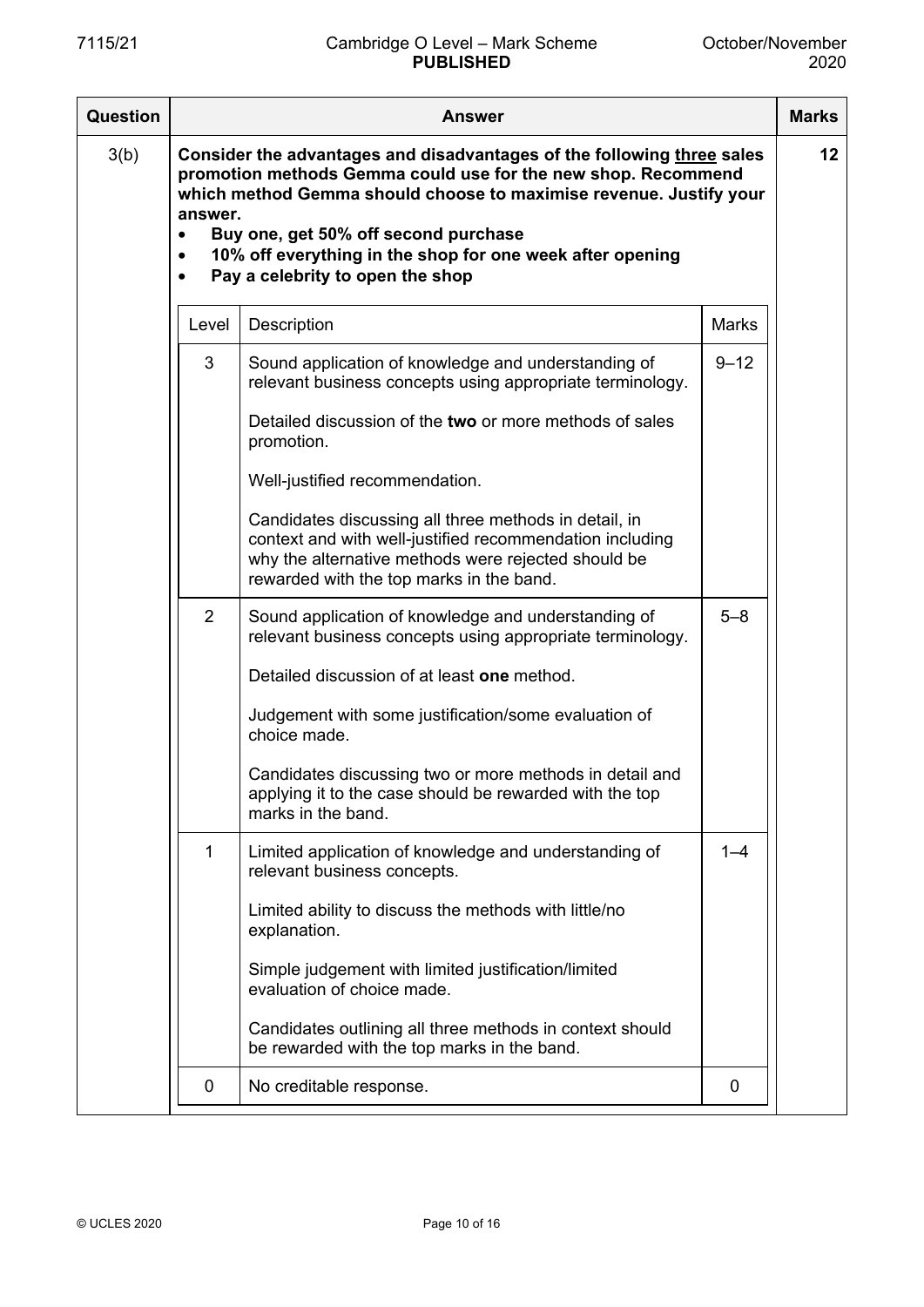| <b>Question</b> | Answer                                         |                                                                                                                                                                                                                                                                                                                                                                                                                                                                                                                                                                                                                                                                                                                                                                                                                                                                                                                                    |                                | <b>Marks</b> |
|-----------------|------------------------------------------------|------------------------------------------------------------------------------------------------------------------------------------------------------------------------------------------------------------------------------------------------------------------------------------------------------------------------------------------------------------------------------------------------------------------------------------------------------------------------------------------------------------------------------------------------------------------------------------------------------------------------------------------------------------------------------------------------------------------------------------------------------------------------------------------------------------------------------------------------------------------------------------------------------------------------------------|--------------------------------|--------------|
| 3(b)            | answer.<br>$\bullet$<br>$\bullet$<br>$\bullet$ | Consider the advantages and disadvantages of the following three sales<br>promotion methods Gemma could use for the new shop. Recommend<br>which method Gemma should choose to maximise revenue. Justify your<br>Buy one, get 50% off second purchase<br>10% off everything in the shop for one week after opening<br>Pay a celebrity to open the shop                                                                                                                                                                                                                                                                                                                                                                                                                                                                                                                                                                             |                                | 12           |
|                 | Level                                          | Description                                                                                                                                                                                                                                                                                                                                                                                                                                                                                                                                                                                                                                                                                                                                                                                                                                                                                                                        | <b>Marks</b>                   |              |
|                 | 3<br>2<br>1                                    | Sound application of knowledge and understanding of<br>relevant business concepts using appropriate terminology.<br>Detailed discussion of the two or more methods of sales<br>promotion.<br>Well-justified recommendation.<br>Candidates discussing all three methods in detail, in<br>context and with well-justified recommendation including<br>why the alternative methods were rejected should be<br>rewarded with the top marks in the band.<br>Sound application of knowledge and understanding of<br>relevant business concepts using appropriate terminology.<br>Detailed discussion of at least one method.<br>Judgement with some justification/some evaluation of<br>choice made.<br>Candidates discussing two or more methods in detail and<br>applying it to the case should be rewarded with the top<br>marks in the band.<br>Limited application of knowledge and understanding of<br>relevant business concepts. | $9 - 12$<br>$5 - 8$<br>$1 - 4$ |              |
|                 |                                                | Limited ability to discuss the methods with little/no<br>explanation.<br>Simple judgement with limited justification/limited<br>evaluation of choice made.<br>Candidates outlining all three methods in context should<br>be rewarded with the top marks in the band.                                                                                                                                                                                                                                                                                                                                                                                                                                                                                                                                                                                                                                                              |                                |              |
|                 | 0                                              | No creditable response.                                                                                                                                                                                                                                                                                                                                                                                                                                                                                                                                                                                                                                                                                                                                                                                                                                                                                                            | 0                              |              |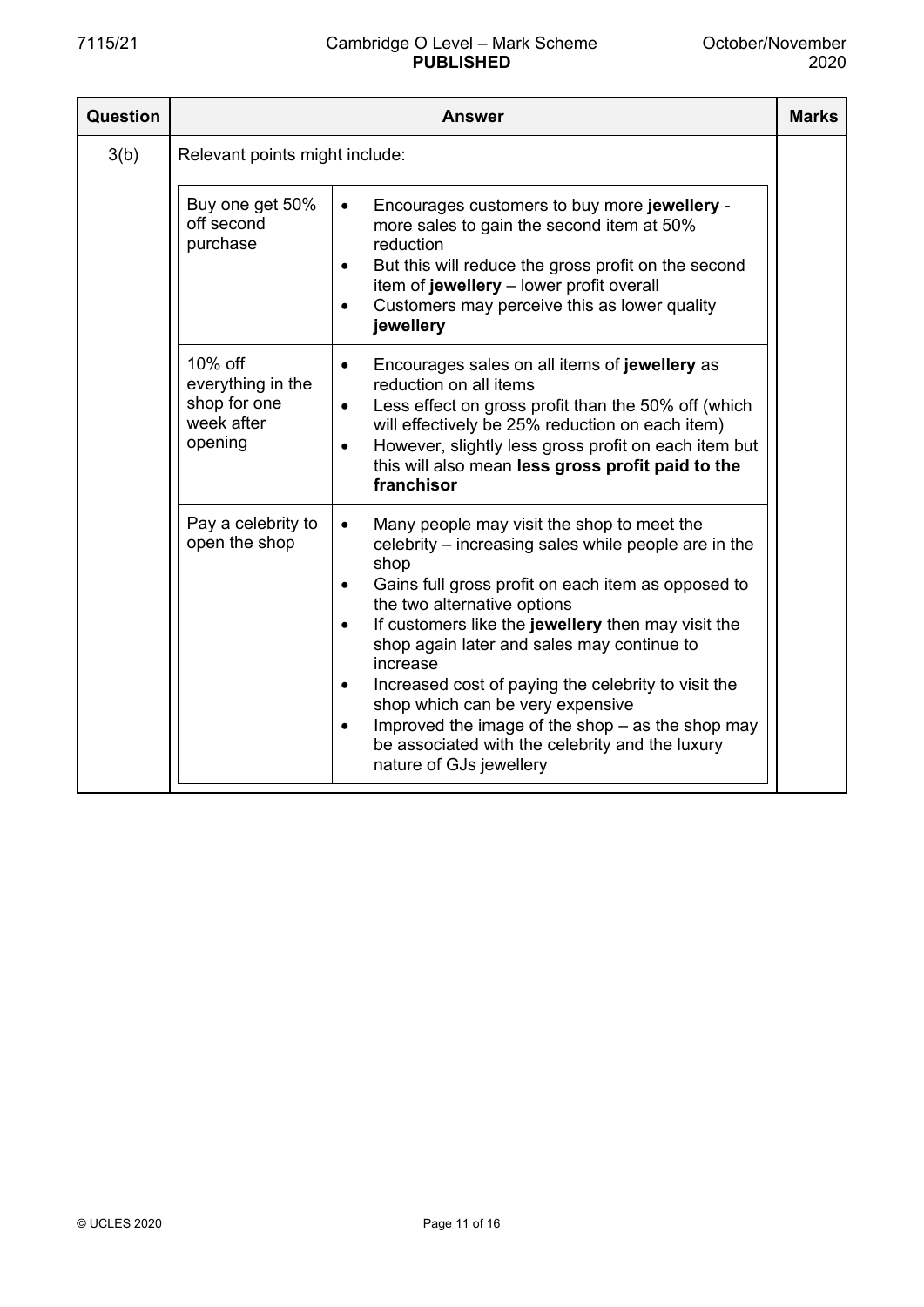| Question |                                                                       | <b>Answer</b>                                                                                                                                                                                                                                                                                                                                                                                                                                                                                                                                                                                      | <b>Marks</b> |
|----------|-----------------------------------------------------------------------|----------------------------------------------------------------------------------------------------------------------------------------------------------------------------------------------------------------------------------------------------------------------------------------------------------------------------------------------------------------------------------------------------------------------------------------------------------------------------------------------------------------------------------------------------------------------------------------------------|--------------|
| 3(b)     | Relevant points might include:                                        |                                                                                                                                                                                                                                                                                                                                                                                                                                                                                                                                                                                                    |              |
|          | Buy one get 50%<br>off second<br>purchase                             | Encourages customers to buy more jewellery -<br>$\bullet$<br>more sales to gain the second item at 50%<br>reduction<br>But this will reduce the gross profit on the second<br>$\bullet$<br>item of jewellery - lower profit overall<br>Customers may perceive this as lower quality<br>$\bullet$<br>jewellery                                                                                                                                                                                                                                                                                      |              |
|          | 10% off<br>everything in the<br>shop for one<br>week after<br>opening | Encourages sales on all items of jewellery as<br>$\bullet$<br>reduction on all items<br>Less effect on gross profit than the 50% off (which<br>$\bullet$<br>will effectively be 25% reduction on each item)<br>However, slightly less gross profit on each item but<br>$\bullet$<br>this will also mean less gross profit paid to the<br>franchisor                                                                                                                                                                                                                                                |              |
|          | Pay a celebrity to<br>open the shop                                   | Many people may visit the shop to meet the<br>$\bullet$<br>celebrity – increasing sales while people are in the<br>shop<br>Gains full gross profit on each item as opposed to<br>$\bullet$<br>the two alternative options<br>If customers like the jewellery then may visit the<br>shop again later and sales may continue to<br>increase<br>Increased cost of paying the celebrity to visit the<br>$\bullet$<br>shop which can be very expensive<br>Improved the image of the shop $-$ as the shop may<br>$\bullet$<br>be associated with the celebrity and the luxury<br>nature of GJs jewellery |              |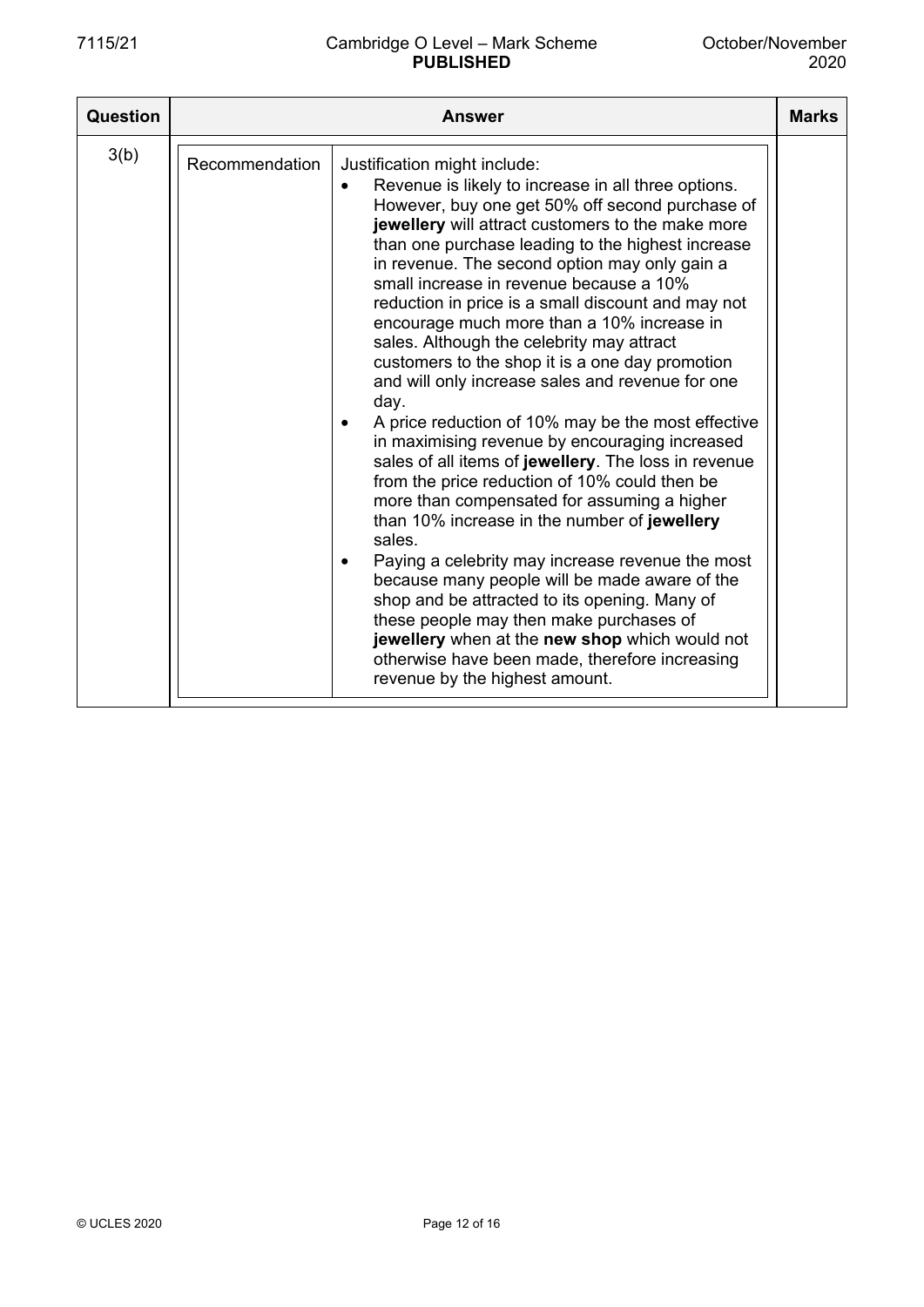| Question |                | Answer                                                                                                                                                                                                                                                                                                                                                                                                                                                                                                                                                                                                                                                                                                                                                                                                                                                                                                                                                                                                                                                                                                                                                                                                                                                                        | <b>Marks</b> |
|----------|----------------|-------------------------------------------------------------------------------------------------------------------------------------------------------------------------------------------------------------------------------------------------------------------------------------------------------------------------------------------------------------------------------------------------------------------------------------------------------------------------------------------------------------------------------------------------------------------------------------------------------------------------------------------------------------------------------------------------------------------------------------------------------------------------------------------------------------------------------------------------------------------------------------------------------------------------------------------------------------------------------------------------------------------------------------------------------------------------------------------------------------------------------------------------------------------------------------------------------------------------------------------------------------------------------|--------------|
| 3(b)     | Recommendation | Justification might include:<br>Revenue is likely to increase in all three options.<br>However, buy one get 50% off second purchase of<br>jewellery will attract customers to the make more<br>than one purchase leading to the highest increase<br>in revenue. The second option may only gain a<br>small increase in revenue because a 10%<br>reduction in price is a small discount and may not<br>encourage much more than a 10% increase in<br>sales. Although the celebrity may attract<br>customers to the shop it is a one day promotion<br>and will only increase sales and revenue for one<br>day.<br>A price reduction of 10% may be the most effective<br>in maximising revenue by encouraging increased<br>sales of all items of jewellery. The loss in revenue<br>from the price reduction of 10% could then be<br>more than compensated for assuming a higher<br>than 10% increase in the number of jewellery<br>sales.<br>Paying a celebrity may increase revenue the most<br>because many people will be made aware of the<br>shop and be attracted to its opening. Many of<br>these people may then make purchases of<br>jewellery when at the new shop which would not<br>otherwise have been made, therefore increasing<br>revenue by the highest amount. |              |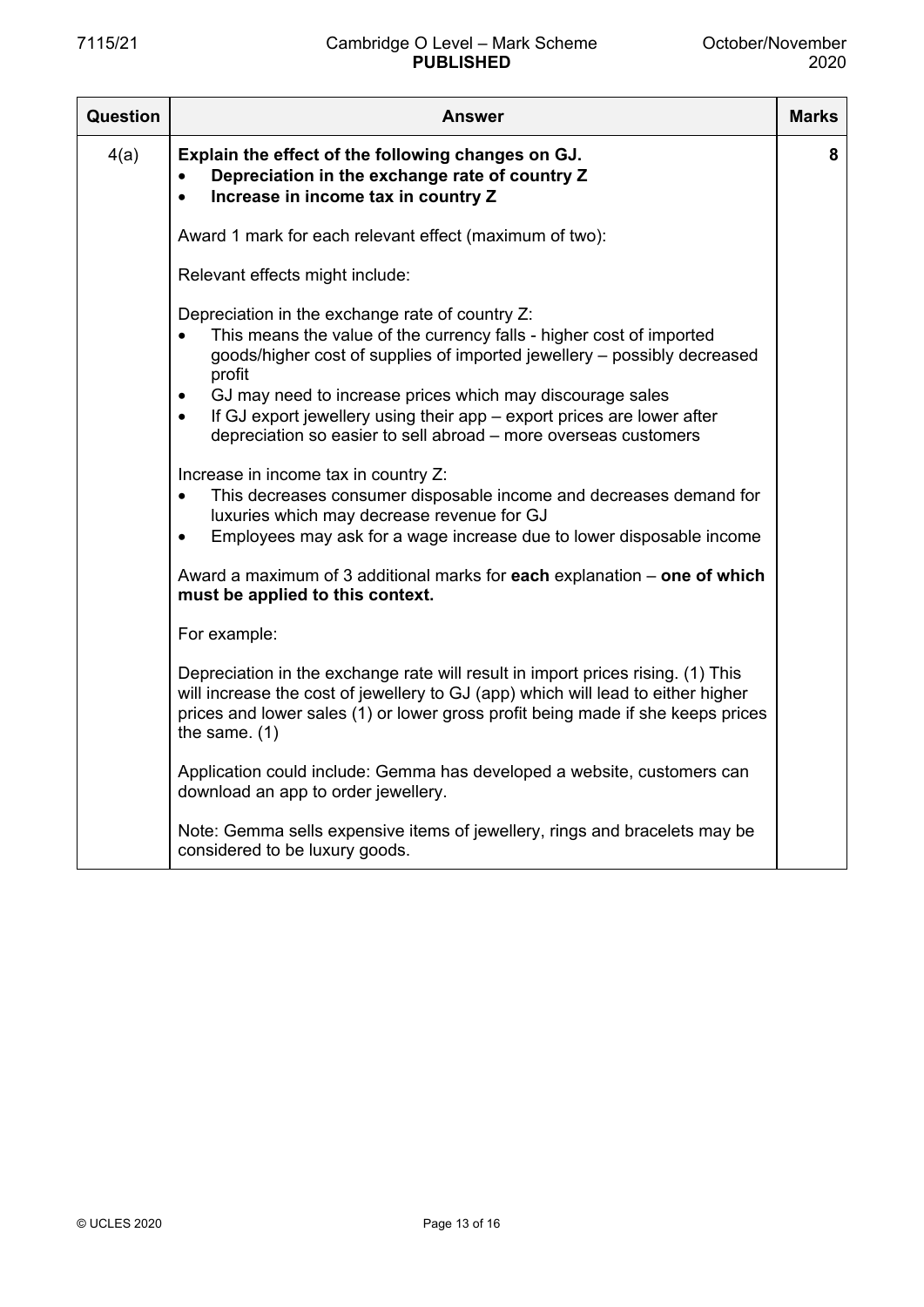| Question | Answer                                                                                                                                                                                                                                                                                                                                                                                                                                                                                                                                                                                                                                                                                                          | <b>Marks</b> |
|----------|-----------------------------------------------------------------------------------------------------------------------------------------------------------------------------------------------------------------------------------------------------------------------------------------------------------------------------------------------------------------------------------------------------------------------------------------------------------------------------------------------------------------------------------------------------------------------------------------------------------------------------------------------------------------------------------------------------------------|--------------|
| 4(a)     | Explain the effect of the following changes on GJ.<br>Depreciation in the exchange rate of country Z<br>$\bullet$<br>Increase in income tax in country Z<br>$\bullet$                                                                                                                                                                                                                                                                                                                                                                                                                                                                                                                                           | 8            |
|          | Award 1 mark for each relevant effect (maximum of two):                                                                                                                                                                                                                                                                                                                                                                                                                                                                                                                                                                                                                                                         |              |
|          | Relevant effects might include:                                                                                                                                                                                                                                                                                                                                                                                                                                                                                                                                                                                                                                                                                 |              |
|          | Depreciation in the exchange rate of country Z:<br>This means the value of the currency falls - higher cost of imported<br>$\bullet$<br>goods/higher cost of supplies of imported jewellery – possibly decreased<br>profit<br>GJ may need to increase prices which may discourage sales<br>$\bullet$<br>If GJ export jewellery using their app – export prices are lower after<br>$\bullet$<br>depreciation so easier to sell abroad - more overseas customers<br>Increase in income tax in country Z:<br>This decreases consumer disposable income and decreases demand for<br>luxuries which may decrease revenue for GJ<br>Employees may ask for a wage increase due to lower disposable income<br>$\bullet$ |              |
|          | Award a maximum of 3 additional marks for each explanation – one of which<br>must be applied to this context.                                                                                                                                                                                                                                                                                                                                                                                                                                                                                                                                                                                                   |              |
|          | For example:                                                                                                                                                                                                                                                                                                                                                                                                                                                                                                                                                                                                                                                                                                    |              |
|          | Depreciation in the exchange rate will result in import prices rising. (1) This<br>will increase the cost of jewellery to GJ (app) which will lead to either higher<br>prices and lower sales (1) or lower gross profit being made if she keeps prices<br>the same. $(1)$                                                                                                                                                                                                                                                                                                                                                                                                                                       |              |
|          | Application could include: Gemma has developed a website, customers can<br>download an app to order jewellery.                                                                                                                                                                                                                                                                                                                                                                                                                                                                                                                                                                                                  |              |
|          | Note: Gemma sells expensive items of jewellery, rings and bracelets may be<br>considered to be luxury goods.                                                                                                                                                                                                                                                                                                                                                                                                                                                                                                                                                                                                    |              |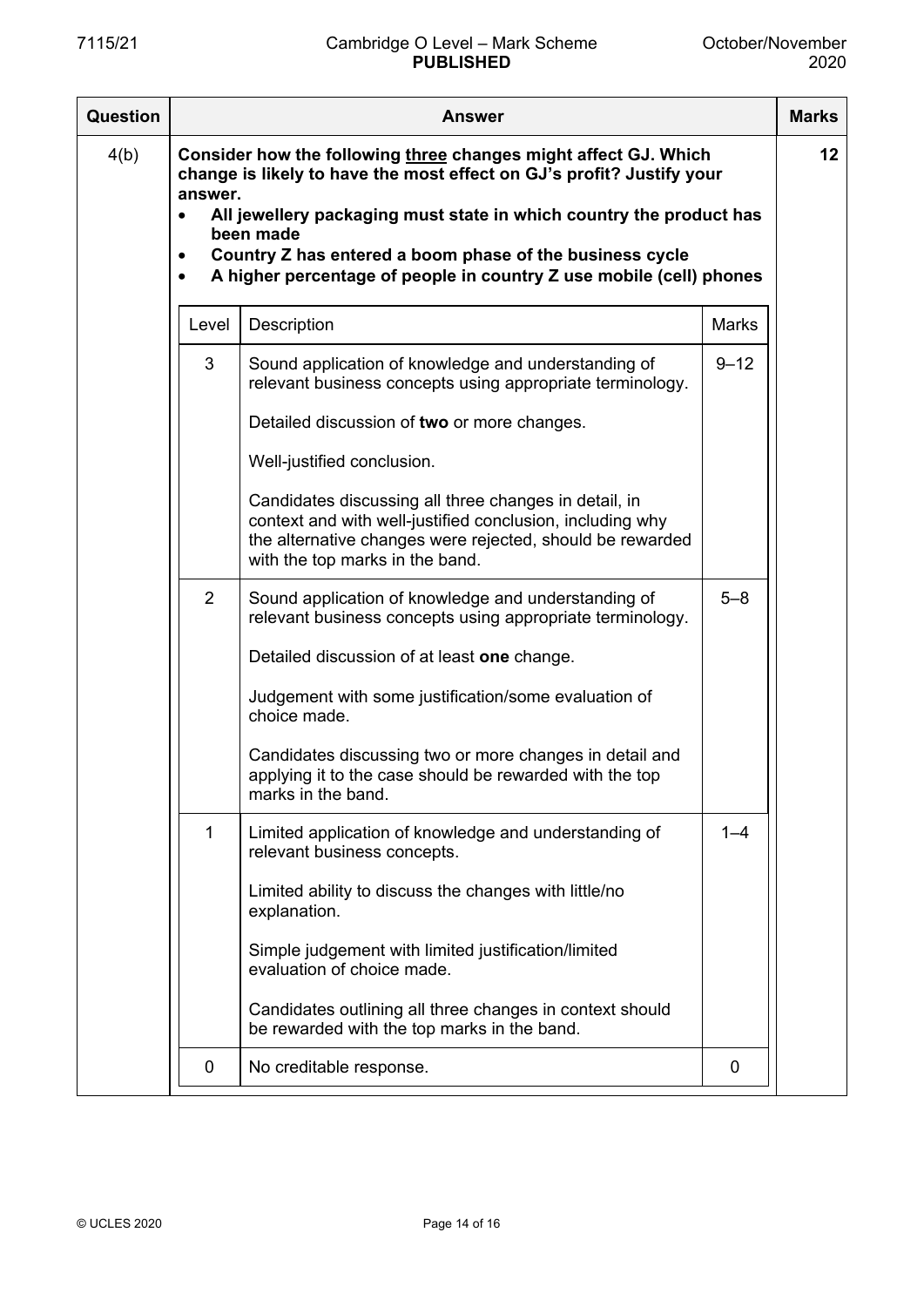| <b>Question</b> | Answer                                         |                                                                                                                                                                                                                                                                                                                                                                 |          |                 |
|-----------------|------------------------------------------------|-----------------------------------------------------------------------------------------------------------------------------------------------------------------------------------------------------------------------------------------------------------------------------------------------------------------------------------------------------------------|----------|-----------------|
| 4(b)            | answer.<br>$\bullet$<br>$\bullet$<br>$\bullet$ | Consider how the following three changes might affect GJ. Which<br>change is likely to have the most effect on GJ's profit? Justify your<br>All jewellery packaging must state in which country the product has<br>been made<br>Country Z has entered a boom phase of the business cycle<br>A higher percentage of people in country Z use mobile (cell) phones |          | 12 <sub>2</sub> |
|                 | Level                                          | Description                                                                                                                                                                                                                                                                                                                                                     | Marks    |                 |
|                 | 3                                              | Sound application of knowledge and understanding of<br>relevant business concepts using appropriate terminology.                                                                                                                                                                                                                                                | $9 - 12$ |                 |
|                 |                                                | Detailed discussion of two or more changes.                                                                                                                                                                                                                                                                                                                     |          |                 |
|                 |                                                | Well-justified conclusion.                                                                                                                                                                                                                                                                                                                                      |          |                 |
|                 |                                                | Candidates discussing all three changes in detail, in<br>context and with well-justified conclusion, including why<br>the alternative changes were rejected, should be rewarded<br>with the top marks in the band.                                                                                                                                              |          |                 |
|                 | $\overline{2}$                                 | Sound application of knowledge and understanding of<br>relevant business concepts using appropriate terminology.                                                                                                                                                                                                                                                | $5 - 8$  |                 |
|                 |                                                | Detailed discussion of at least one change.                                                                                                                                                                                                                                                                                                                     |          |                 |
|                 |                                                | Judgement with some justification/some evaluation of<br>choice made.                                                                                                                                                                                                                                                                                            |          |                 |
|                 |                                                | Candidates discussing two or more changes in detail and<br>applying it to the case should be rewarded with the top<br>marks in the band.                                                                                                                                                                                                                        |          |                 |
|                 | 1                                              | Limited application of knowledge and understanding of<br>relevant business concepts.                                                                                                                                                                                                                                                                            | $1 - 4$  |                 |
|                 |                                                | Limited ability to discuss the changes with little/no<br>explanation.                                                                                                                                                                                                                                                                                           |          |                 |
|                 |                                                | Simple judgement with limited justification/limited<br>evaluation of choice made.                                                                                                                                                                                                                                                                               |          |                 |
|                 |                                                | Candidates outlining all three changes in context should<br>be rewarded with the top marks in the band.                                                                                                                                                                                                                                                         |          |                 |
|                 | 0                                              | No creditable response.                                                                                                                                                                                                                                                                                                                                         | 0        |                 |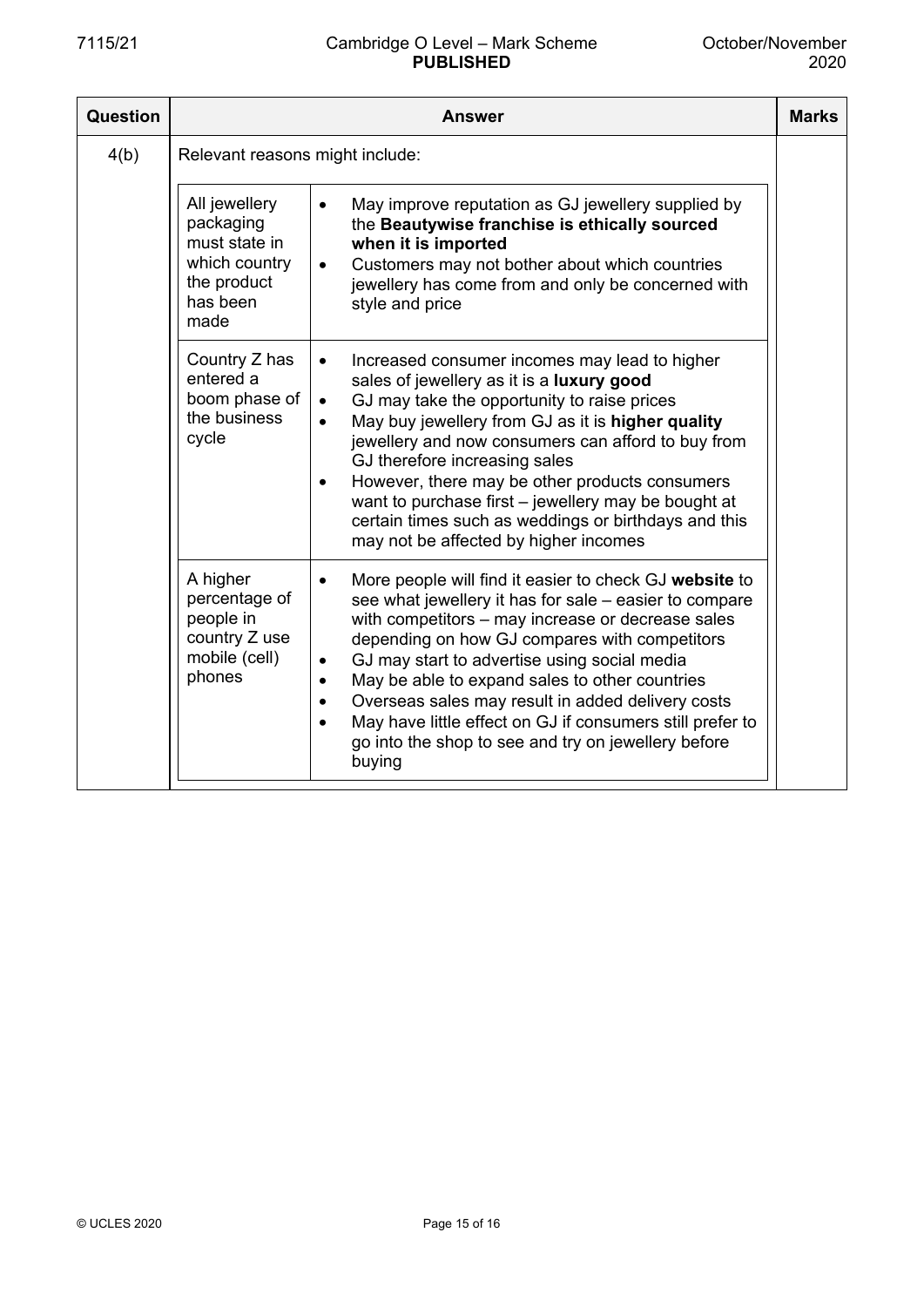| Question | Answer                                                                                          |                                                                                                                                                                                                                                                                                                                                                                                                                                                                                                                                                                              | <b>Marks</b> |
|----------|-------------------------------------------------------------------------------------------------|------------------------------------------------------------------------------------------------------------------------------------------------------------------------------------------------------------------------------------------------------------------------------------------------------------------------------------------------------------------------------------------------------------------------------------------------------------------------------------------------------------------------------------------------------------------------------|--------------|
| 4(b)     | Relevant reasons might include:                                                                 |                                                                                                                                                                                                                                                                                                                                                                                                                                                                                                                                                                              |              |
|          | All jewellery<br>packaging<br>must state in<br>which country<br>the product<br>has been<br>made | May improve reputation as GJ jewellery supplied by<br>$\bullet$<br>the Beautywise franchise is ethically sourced<br>when it is imported<br>Customers may not bother about which countries<br>jewellery has come from and only be concerned with<br>style and price                                                                                                                                                                                                                                                                                                           |              |
|          | Country Z has<br>entered a<br>boom phase of<br>the business<br>cycle                            | Increased consumer incomes may lead to higher<br>$\bullet$<br>sales of jewellery as it is a luxury good<br>GJ may take the opportunity to raise prices<br>$\bullet$<br>May buy jewellery from GJ as it is higher quality<br>$\bullet$<br>jewellery and now consumers can afford to buy from<br>GJ therefore increasing sales<br>However, there may be other products consumers<br>$\bullet$<br>want to purchase first - jewellery may be bought at<br>certain times such as weddings or birthdays and this<br>may not be affected by higher incomes                          |              |
|          | A higher<br>percentage of<br>people in<br>country Z use<br>mobile (cell)<br>phones              | More people will find it easier to check GJ website to<br>$\bullet$<br>see what jewellery it has for sale – easier to compare<br>with competitors - may increase or decrease sales<br>depending on how GJ compares with competitors<br>GJ may start to advertise using social media<br>$\bullet$<br>May be able to expand sales to other countries<br>$\bullet$<br>Overseas sales may result in added delivery costs<br>$\bullet$<br>May have little effect on GJ if consumers still prefer to<br>$\bullet$<br>go into the shop to see and try on jewellery before<br>buying |              |